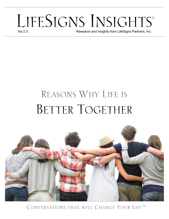# LIFESIGNS INSIGHTS<sup>®</sup>

Research and insights from LifeSigns Partners, Inc.

## REASONS WHY LIFE IS BETTER TOGETHER



CONVERSATIONS THAT WILL CHANGE YOUR LIFE™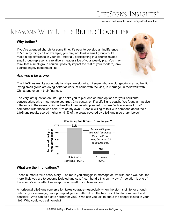## LIFESIGNS INSIGHT

Research and insights from LifeSigns Partners, Inc.

## REASONS WHY LIFE IS BETTER TOGETHER

#### **Why bother?**

If you've attended church for some time, it's easy to develop an indifference to "churchy things." For example, you may not think a small group could make a big difference in your life. After all, participating in a church-related small group represents a relatively meager slice of your weekly pie. You may think that a small group couldn't possibly impact the rest of your modern, jampacked, highly caffeinated life.



#### *And you'd be wrong.*

The LifeSigns results about relationships are stunning. People who are plugged-in to an authentic, loving small group are doing better at work, at home with the kids, in marriage, in their walk with Christ, and even in their finances.

The very last question on LifeSigns asks you to pick one of three options for your horizontal conversation, with: 1) someone you trust, 2) a pastor, or 3) a LifeSigns coach. We found a massive difference in the overall spiritual health of people who planned to share "with someone I trust" compared with those who said, "I'm on my own." People willing to talk with someone about their LifeSigns results scored higher on 91% of the areas covered by LifeSigns (see graph below).



#### **Comparing Two Groups: "How are you?"**

#### **What are the Implications?**

Those numbers tell a scary story. The more you struggle in marriage or live with deep wounds, the more likely you are to become isolated and say, "I can handle this on my own." Isolation is one of the enemy's most effective weapons in his efforts to take you out.

A horizontal LifeSigns conversation takes courage—especially when the storms of life, or a rough patch in your marriage, have prompted you to batten down the hatches. Stop for a moment and consider: Who can be a safe harbor for you? Who can you talk to about the deeper issues in your life? Who could you call tonight?